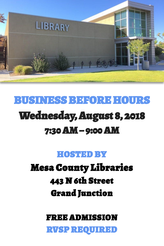

# BUSINESS BEFORE HOURS Wednesday, August 8, 2018 7:30 AM – 9:00 AM

#### HOSTED BY

# Mesa County Libraries 443 N 6th Street Grand Junction

#### FREE ADMISSION

RVSP REQUIRED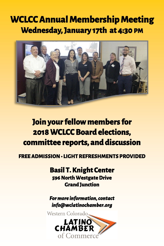## **WCLCC Annual Membership Meeting Wednesday, January 17th at 4:30 PM**



### **Join your fellow members for 2018 WCLCC Board elections, committee reports, and discussion**

#### **FREE ADMISSION • LIGHT REFRESHMENTS PROVIDED**

**Basil T. Knight Center 596 North Westgate Drive Grand Junction** 

*For more information, contact info@wclatinochamber.org* 

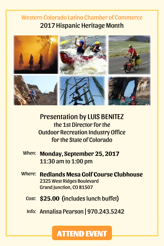#### Western Colorado Latino Chamber of Commerce 2017 Hispanic Heritage Month



Presentation by LUIS BENITEZ the 1st Director for the Outdoor Recreation Industry Office for the State of Colorado

- When: **Monday, September 25, 2017**  11:30 am to 1:00 pm
- Where: **Redlands Mesa Golf Course Clubhouse** 2325 West Ridges Boulevard Grand Junction, CO 81507
	- Cost: **\$25.00** (includes lunch buffet)

Info: Annalisa Pearson | 970.243.5242

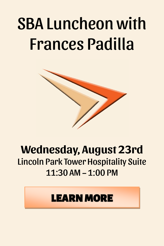# SBA Luncheon with Frances Padilla



## **Wednesday, August 23rd**  Lincoln Park Tower Hospitality Suite  $11:30$  AM –  $1:00$  PM

# LEARN MORE